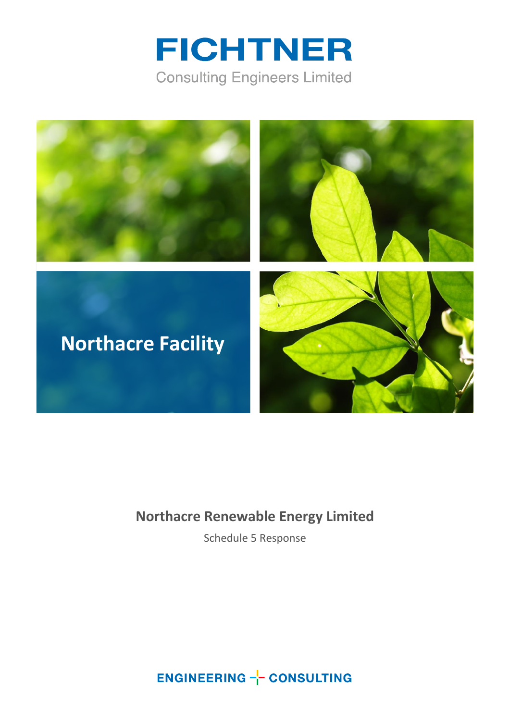



### **Northacre Renewable Energy Limited**

Schedule 5 Response

**ENGINEERING -- CONSULTING**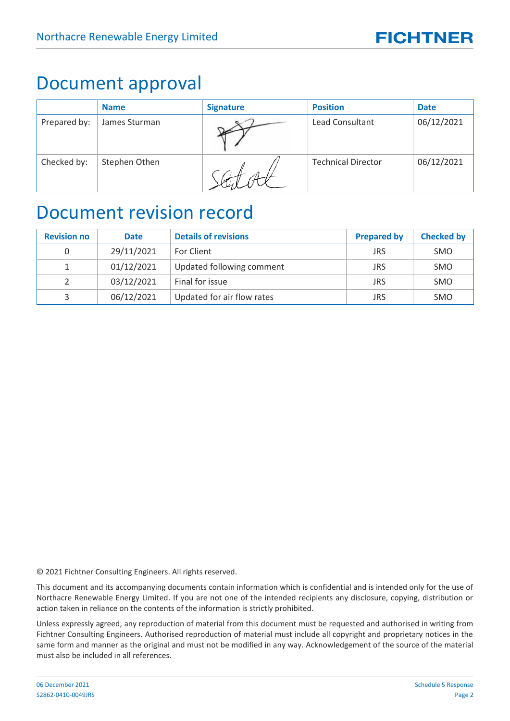### Document approval

|              | <b>Name</b>   | <b>Signature</b> | <b>Position</b>           | <b>Date</b> |
|--------------|---------------|------------------|---------------------------|-------------|
| Prepared by: | James Sturman |                  | <b>Lead Consultant</b>    | 06/12/2021  |
| Checked by:  | Stephen Othen |                  | <b>Technical Director</b> | 06/12/2021  |

### Document revision record

| <b>Revision no</b> | <b>Date</b> | <b>Details of revisions</b> | <b>Prepared by</b> | <b>Checked by</b> |
|--------------------|-------------|-----------------------------|--------------------|-------------------|
| 0                  | 29/11/2021  | For Client                  | <b>JRS</b>         | <b>SMO</b>        |
|                    | 01/12/2021  | Updated following comment   | <b>JRS</b>         | <b>SMO</b>        |
| $\mathcal{L}$      | 03/12/2021  | Final for issue             | <b>JRS</b>         | <b>SMO</b>        |
| 3                  | 06/12/2021  | Updated for air flow rates  | JRS                | <b>SMO</b>        |

© 2021 Fichtner Consulting Engineers. All rights reserved.

This document and its accompanying documents contain information which is confidential and is intended only for the use of Northacre Renewable Energy Limited. If you are not one of the intended recipients any disclosure, copying, distribution or action taken in reliance on the contents of the information is strictly prohibited.

Unless expressly agreed, any reproduction of material from this document must be requested and authorised in writing from Fichtner Consulting Engineers. Authorised reproduction of material must include all copyright and proprietary notices in the same form and manner as the original and must not be modified in any way. Acknowledgement of the source of the material must also be included in all references.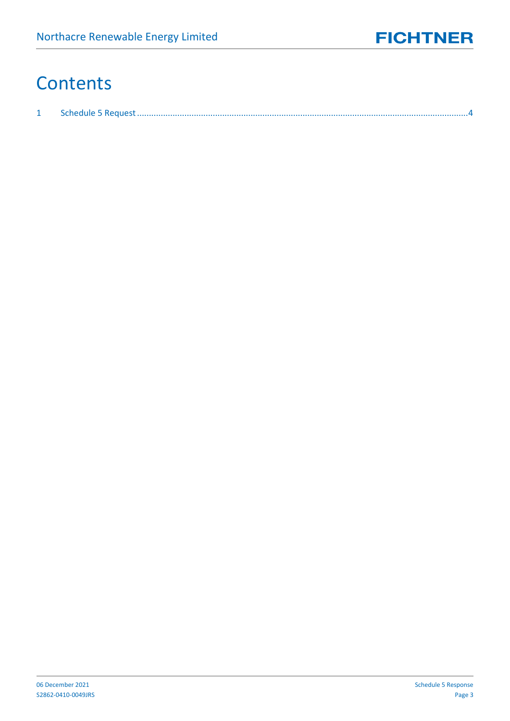## **Contents**

| ، بالمستنبين المستنبين المستنبين المستنبين المستنبين المستنبين المستنبين المستنبين المستنبين المستنبي المستنبي |  |
|----------------------------------------------------------------------------------------------------------------|--|
|                                                                                                                |  |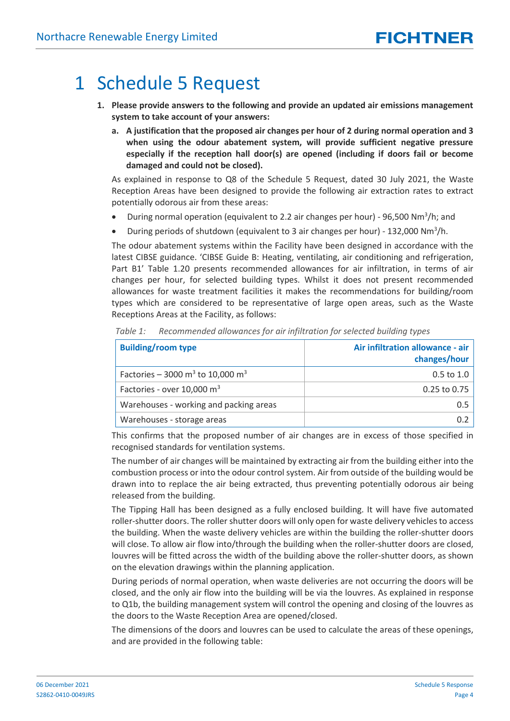### <span id="page-3-0"></span>1 Schedule 5 Request

- **1. Please provide answers to the following and provide an updated air emissions management system to take account of your answers:**
	- **a. A justification that the proposed air changes per hour of 2 during normal operation and 3 when using the odour abatement system, will provide sufficient negative pressure especially if the reception hall door(s) are opened (including if doors fail or become damaged and could not be closed).**

As explained in response to Q8 of the Schedule 5 Request, dated 30 July 2021, the Waste Reception Areas have been designed to provide the following air extraction rates to extract potentially odorous air from these areas:

- During normal operation (equivalent to 2.2 air changes per hour) 96,500 Nm<sup>3</sup>/h; and
- During periods of shutdown (equivalent to 3 air changes per hour) 132,000 Nm<sup>3</sup>/h.

The odour abatement systems within the Facility have been designed in accordance with the latest CIBSE guidance. 'CIBSE Guide B: Heating, ventilating, air conditioning and refrigeration, Part B1' Table 1.20 presents recommended allowances for air infiltration, in terms of air changes per hour, for selected building types. Whilst it does not present recommended allowances for waste treatment facilities it makes the recommendations for building/room types which are considered to be representative of large open areas, such as the Waste Receptions Areas at the Facility, as follows:

| <b>Building/room type</b>                                | Air infiltration allowance - air<br>changes/hour |
|----------------------------------------------------------|--------------------------------------------------|
| Factories – 3000 m <sup>3</sup> to 10,000 m <sup>3</sup> | $0.5$ to $1.0$                                   |
| Factories - over 10,000 m <sup>3</sup>                   | 0.25 to 0.75                                     |
| Warehouses - working and packing areas                   | 0.5                                              |
| Warehouses - storage areas                               |                                                  |

*Table 1: Recommended allowances for air infiltration for selected building types*

This confirms that the proposed number of air changes are in excess of those specified in recognised standards for ventilation systems.

The number of air changes will be maintained by extracting air from the building either into the combustion process or into the odour control system. Air from outside of the building would be drawn into to replace the air being extracted, thus preventing potentially odorous air being released from the building.

The Tipping Hall has been designed as a fully enclosed building. It will have five automated roller-shutter doors. The roller shutter doors will only open for waste delivery vehicles to access the building. When the waste delivery vehicles are within the building the roller-shutter doors will close. To allow air flow into/through the building when the roller-shutter doors are closed, louvres will be fitted across the width of the building above the roller-shutter doors, as shown on the elevation drawings within the planning application.

During periods of normal operation, when waste deliveries are not occurring the doors will be closed, and the only air flow into the building will be via the louvres. As explained in response to Q1b, the building management system will control the opening and closing of the louvres as the doors to the Waste Reception Area are opened/closed.

The dimensions of the doors and louvres can be used to calculate the areas of these openings, and are provided in the following table: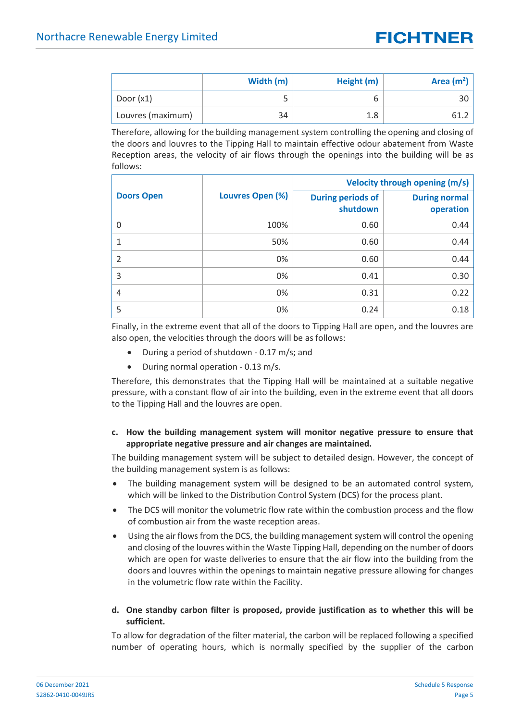|                   | Width (m) | Height (m) | Area $(m2)$ |
|-------------------|-----------|------------|-------------|
| Door $(x1)$       |           |            |             |
| Louvres (maximum) | 34        | 1.8        |             |

Therefore, allowing for the building management system controlling the opening and closing of the doors and louvres to the Tipping Hall to maintain effective odour abatement from Waste Reception areas, the velocity of air flows through the openings into the building will be as follows:

|                   |                  | Velocity through opening (m/s)       |                                   |  |
|-------------------|------------------|--------------------------------------|-----------------------------------|--|
| <b>Doors Open</b> | Louvres Open (%) | <b>During periods of</b><br>shutdown | <b>During normal</b><br>operation |  |
| 0                 | 100%             | 0.60                                 | 0.44                              |  |
| 1                 | 50%              | 0.60                                 | 0.44                              |  |
| $\overline{2}$    | 0%               | 0.60                                 | 0.44                              |  |
| 3                 | 0%               | 0.41                                 | 0.30                              |  |
| $\overline{4}$    | 0%               | 0.31                                 | 0.22                              |  |
| 5                 | 0%               | 0.24                                 | 0.18                              |  |

Finally, in the extreme event that all of the doors to Tipping Hall are open, and the louvres are also open, the velocities through the doors will be as follows:

- During a period of shutdown 0.17 m/s; and
- During normal operation 0.13 m/s.

Therefore, this demonstrates that the Tipping Hall will be maintained at a suitable negative pressure, with a constant flow of air into the building, even in the extreme event that all doors to the Tipping Hall and the louvres are open.

#### **c. How the building management system will monitor negative pressure to ensure that appropriate negative pressure and air changes are maintained.**

The building management system will be subject to detailed design. However, the concept of the building management system is as follows:

- The building management system will be designed to be an automated control system, which will be linked to the Distribution Control System (DCS) for the process plant.
- The DCS will monitor the volumetric flow rate within the combustion process and the flow of combustion air from the waste reception areas.
- Using the air flows from the DCS, the building management system will control the opening and closing of the louvres within the Waste Tipping Hall, depending on the number of doors which are open for waste deliveries to ensure that the air flow into the building from the doors and louvres within the openings to maintain negative pressure allowing for changes in the volumetric flow rate within the Facility.

#### **d. One standby carbon filter is proposed, provide justification as to whether this will be sufficient.**

To allow for degradation of the filter material, the carbon will be replaced following a specified number of operating hours, which is normally specified by the supplier of the carbon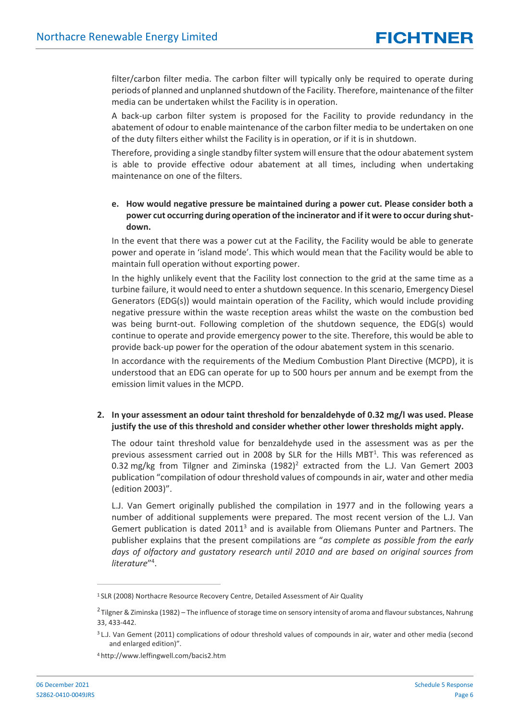filter/carbon filter media. The carbon filter will typically only be required to operate during periods of planned and unplanned shutdown of the Facility. Therefore, maintenance of the filter media can be undertaken whilst the Facility is in operation.

A back-up carbon filter system is proposed for the Facility to provide redundancy in the abatement of odour to enable maintenance of the carbon filter media to be undertaken on one of the duty filters either whilst the Facility is in operation, or if it is in shutdown.

Therefore, providing a single standby filter system will ensure that the odour abatement system is able to provide effective odour abatement at all times, including when undertaking maintenance on one of the filters.

#### **e. How would negative pressure be maintained during a power cut. Please consider both a power cut occurring during operation of the incinerator and if it were to occur during shutdown.**

In the event that there was a power cut at the Facility, the Facility would be able to generate power and operate in 'island mode'. This which would mean that the Facility would be able to maintain full operation without exporting power.

In the highly unlikely event that the Facility lost connection to the grid at the same time as a turbine failure, it would need to enter a shutdown sequence. In this scenario, Emergency Diesel Generators (EDG(s)) would maintain operation of the Facility, which would include providing negative pressure within the waste reception areas whilst the waste on the combustion bed was being burnt-out. Following completion of the shutdown sequence, the EDG(s) would continue to operate and provide emergency power to the site. Therefore, this would be able to provide back-up power for the operation of the odour abatement system in this scenario.

In accordance with the requirements of the Medium Combustion Plant Directive (MCPD), it is understood that an EDG can operate for up to 500 hours per annum and be exempt from the emission limit values in the MCPD.

#### **2. In your assessment an odour taint threshold for benzaldehyde of 0.32 mg/l was used. Please justify the use of this threshold and consider whether other lower thresholds might apply.**

The odour taint threshold value for benzaldehyde used in the assessment was as per the previous assessment carried out in 2008 by SLR for the Hills MBT<sup>1</sup>. This was referenced as 0.32 mg/kg from Tilgner and Ziminska  $(1982)^2$  extracted from the L.J. Van Gemert 2003 publication "compilation of odour threshold values of compounds in air, water and other media (edition 2003)".

L.J. Van Gemert originally published the compilation in 1977 and in the following years a number of additional supplements were prepared. The most recent version of the L.J. Van Gemert publication is dated 2011<sup>3</sup> and is available from Oliemans Punter and Partners. The publisher explains that the present compilations are "*as complete as possible from the early days of olfactory and gustatory research until 2010 and are based on original sources from literature*" 4 .

<sup>1</sup> SLR (2008) Northacre Resource Recovery Centre, Detailed Assessment of Air Quality

 $^2$ Tilgner & Ziminska (1982) – The influence of storage time on sensory intensity of aroma and flavour substances, Nahrung 33, 433-442.

<sup>&</sup>lt;sup>3</sup> L.J. Van Gement (2011) complications of odour threshold values of compounds in air, water and other media (second and enlarged edition)".

<sup>4</sup> http://www.leffingwell.com/bacis2.htm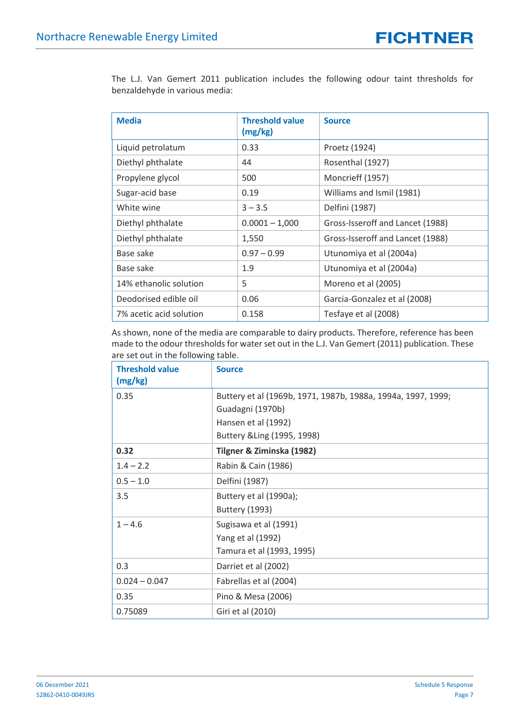The L.J. Van Gemert 2011 publication includes the following odour taint thresholds for benzaldehyde in various media:

| <b>Media</b>            | <b>Threshold value</b><br>(mg/kg) | <b>Source</b>                    |
|-------------------------|-----------------------------------|----------------------------------|
| Liquid petrolatum       | 0.33                              | Proetz (1924)                    |
| Diethyl phthalate       | 44                                | Rosenthal (1927)                 |
| Propylene glycol        | 500                               | Moncrieff (1957)                 |
| Sugar-acid base         | 0.19                              | Williams and Ismil (1981)        |
| White wine              | $3 - 3.5$                         | Delfini (1987)                   |
| Diethyl phthalate       | $0.0001 - 1,000$                  | Gross-Isseroff and Lancet (1988) |
| Diethyl phthalate       | 1,550                             | Gross-Isseroff and Lancet (1988) |
| Base sake               | $0.97 - 0.99$                     | Utunomiya et al (2004a)          |
| Base sake               | 1.9                               | Utunomiya et al (2004a)          |
| 14% ethanolic solution  | 5                                 | Moreno et al (2005)              |
| Deodorised edible oil   | 0.06                              | Garcia-Gonzalez et al (2008)     |
| 7% acetic acid solution | 0.158                             | Tesfaye et al (2008)             |

As shown, none of the media are comparable to dairy products. Therefore, reference has been made to the odour thresholds for water set out in the L.J. Van Gemert (2011) publication. These are set out in the following table.

| <b>Threshold value</b><br>(mg/kg) | <b>Source</b>                                                |  |  |
|-----------------------------------|--------------------------------------------------------------|--|--|
| 0.35                              | Buttery et al (1969b, 1971, 1987b, 1988a, 1994a, 1997, 1999; |  |  |
|                                   | Guadagni (1970b)                                             |  |  |
|                                   | Hansen et al (1992)                                          |  |  |
|                                   | Buttery & Ling (1995, 1998)                                  |  |  |
| 0.32                              | Tilgner & Ziminska (1982)                                    |  |  |
| $1.4 - 2.2$                       | Rabin & Cain (1986)                                          |  |  |
| $0.5 - 1.0$                       | Delfini (1987)                                               |  |  |
| 3.5                               | Buttery et al (1990a);                                       |  |  |
|                                   | <b>Buttery (1993)</b>                                        |  |  |
| $1 - 4.6$                         | Sugisawa et al (1991)                                        |  |  |
|                                   | Yang et al (1992)                                            |  |  |
|                                   | Tamura et al (1993, 1995)                                    |  |  |
| 0.3                               | Darriet et al (2002)                                         |  |  |
| $0.024 - 0.047$                   | Fabrellas et al (2004)                                       |  |  |
| 0.35                              | Pino & Mesa (2006)                                           |  |  |
| 0.75089                           | Giri et al (2010)                                            |  |  |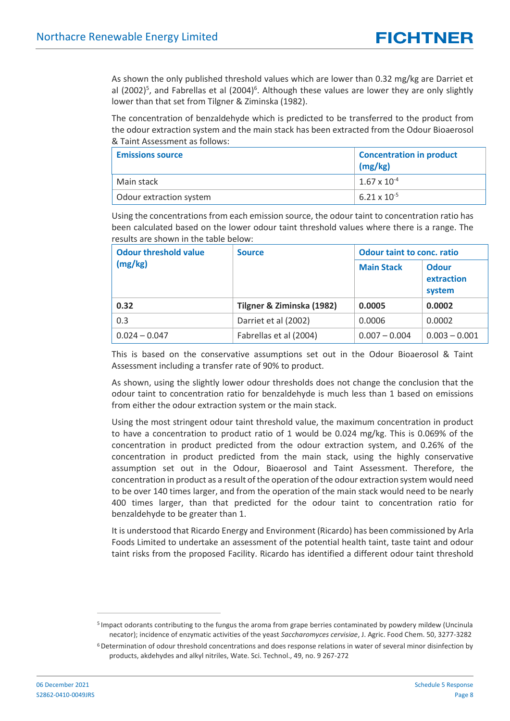As shown the only published threshold values which are lower than 0.32 mg/kg are Darriet et al (2002)<sup>5</sup>, and Fabrellas et al (2004)<sup>6</sup>. Although these values are lower they are only slightly lower than that set from Tilgner & Ziminska (1982).

The concentration of benzaldehyde which is predicted to be transferred to the product from the odour extraction system and the main stack has been extracted from the Odour Bioaerosol & Taint Assessment as follows:

| <b>Emissions source</b> | <b>Concentration in product</b><br>(mg/kg) |
|-------------------------|--------------------------------------------|
| Main stack              | $1.67 \times 10^{-4}$                      |
| Odour extraction system | $6.21 \times 10^{-5}$                      |

Using the concentrations from each emission source, the odour taint to concentration ratio has been calculated based on the lower odour taint threshold values where there is a range. The results are shown in the table below:

| <b>Odour threshold value</b> | <b>Source</b>             | <b>Odour taint to conc. ratio</b> |                                      |
|------------------------------|---------------------------|-----------------------------------|--------------------------------------|
| (mg/kg)                      |                           | <b>Main Stack</b>                 | <b>Odour</b><br>extraction<br>system |
| 0.32                         | Tilgner & Ziminska (1982) | 0.0005                            | 0.0002                               |
| 0.3                          | Darriet et al (2002)      | 0.0006                            | 0.0002                               |
| $0.024 - 0.047$              | Fabrellas et al (2004)    | $0.007 - 0.004$                   | $0.003 - 0.001$                      |

This is based on the conservative assumptions set out in the Odour Bioaerosol & Taint Assessment including a transfer rate of 90% to product.

As shown, using the slightly lower odour thresholds does not change the conclusion that the odour taint to concentration ratio for benzaldehyde is much less than 1 based on emissions from either the odour extraction system or the main stack.

Using the most stringent odour taint threshold value, the maximum concentration in product to have a concentration to product ratio of 1 would be 0.024 mg/kg. This is 0.069% of the concentration in product predicted from the odour extraction system, and 0.26% of the concentration in product predicted from the main stack, using the highly conservative assumption set out in the Odour, Bioaerosol and Taint Assessment. Therefore, the concentration in product as a result of the operation of the odour extraction system would need to be over 140 times larger, and from the operation of the main stack would need to be nearly 400 times larger, than that predicted for the odour taint to concentration ratio for benzaldehyde to be greater than 1.

It is understood that Ricardo Energy and Environment (Ricardo) has been commissioned by Arla Foods Limited to undertake an assessment of the potential health taint, taste taint and odour taint risks from the proposed Facility. Ricardo has identified a different odour taint threshold

<sup>&</sup>lt;sup>5</sup> Impact odorants contributing to the fungus the aroma from grape berries contaminated by powdery mildew (Uncinula necator); incidence of enzymatic activities of the yeast *Saccharomyces cervisiae*, J. Agric. Food Chem. 50, 3277-3282

<sup>&</sup>lt;sup>6</sup>Determination of odour threshold concentrations and does response relations in water of several minor disinfection by products, akdehydes and alkyl nitriles, Wate. Sci. Technol., 49, no. 9 267-272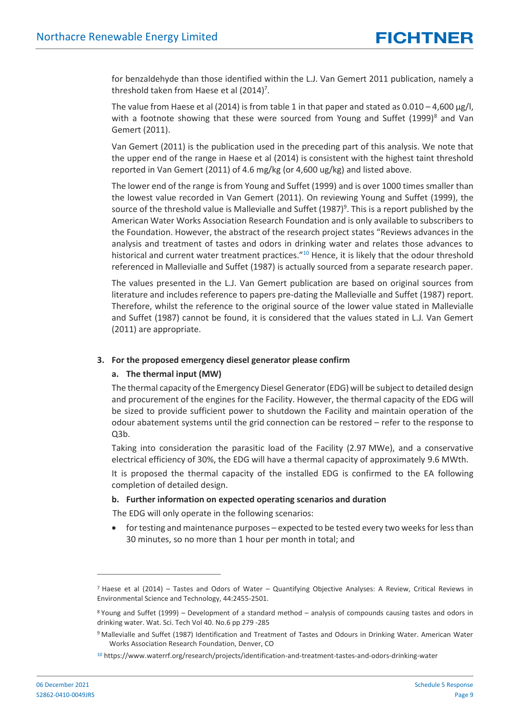for benzaldehyde than those identified within the L.J. Van Gemert 2011 publication, namely a threshold taken from Haese et al  $(2014)^7$ .

The value from Haese et al (2014) is from table 1 in that paper and stated as  $0.010 - 4,600 \mu g/l$ , with a footnote showing that these were sourced from Young and Suffet  $(1999)^8$  and Van Gemert (2011).

Van Gemert (2011) is the publication used in the preceding part of this analysis. We note that the upper end of the range in Haese et al (2014) is consistent with the highest taint threshold reported in Van Gemert (2011) of 4.6 mg/kg (or 4,600 ug/kg) and listed above.

The lower end of the range is from Young and Suffet (1999) and is over 1000 times smaller than the lowest value recorded in Van Gemert (2011). On reviewing Young and Suffet (1999), the source of the threshold value is Mallevialle and Suffet (1987)<sup>9</sup>. This is a report published by the American Water Works Association Research Foundation and is only available to subscribers to the Foundation. However, the abstract of the research project states "Reviews advances in the analysis and treatment of tastes and odors in drinking water and relates those advances to historical and current water treatment practices."<sup>10</sup> Hence, it is likely that the odour threshold referenced in Mallevialle and Suffet (1987) is actually sourced from a separate research paper.

The values presented in the L.J. Van Gemert publication are based on original sources from literature and includes reference to papers pre-dating the Mallevialle and Suffet (1987) report. Therefore, whilst the reference to the original source of the lower value stated in Mallevialle and Suffet (1987) cannot be found, it is considered that the values stated in L.J. Van Gemert (2011) are appropriate.

#### **3. For the proposed emergency diesel generator please confirm**

#### **a. The thermal input (MW)**

The thermal capacity of the Emergency Diesel Generator (EDG) will be subject to detailed design and procurement of the engines for the Facility. However, the thermal capacity of the EDG will be sized to provide sufficient power to shutdown the Facility and maintain operation of the odour abatement systems until the grid connection can be restored – refer to the response to Q3b.

Taking into consideration the parasitic load of the Facility (2.97 MWe), and a conservative electrical efficiency of 30%, the EDG will have a thermal capacity of approximately 9.6 MWth.

It is proposed the thermal capacity of the installed EDG is confirmed to the EA following completion of detailed design.

#### **b. Further information on expected operating scenarios and duration**

The EDG will only operate in the following scenarios:

• for testing and maintenance purposes – expected to be tested every two weeks for less than 30 minutes, so no more than 1 hour per month in total; and

 $<sup>7</sup>$  Haese et al (2014) – Tastes and Odors of Water – Quantifying Objective Analyses: A Review, Critical Reviews in</sup> Environmental Science and Technology, 44:2455-2501.

<sup>8</sup> Young and Suffet (1999) – Development of a standard method – analysis of compounds causing tastes and odors in drinking water. Wat. Sci. Tech Vol 40. No.6 pp 279 -285

<sup>9</sup> Mallevialle and Suffet (1987) Identification and Treatment of Tastes and Odours in Drinking Water. American Water Works Association Research Foundation, Denver, CO

<sup>10</sup> https://www.waterrf.org/research/projects/identification-and-treatment-tastes-and-odors-drinking-water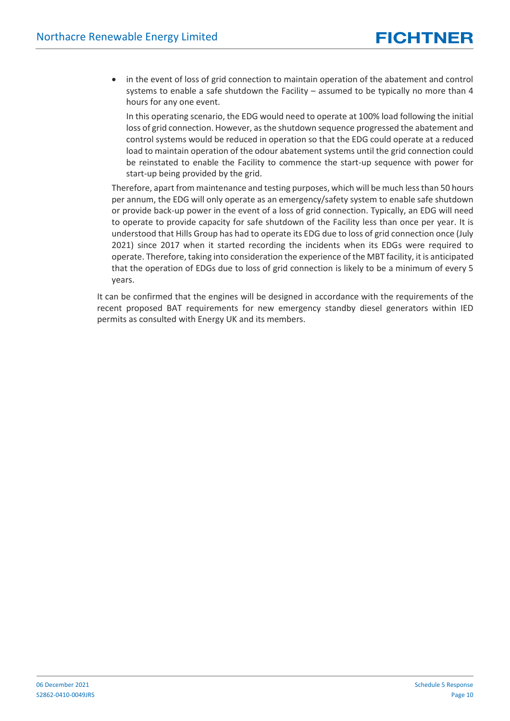in the event of loss of grid connection to maintain operation of the abatement and control systems to enable a safe shutdown the Facility – assumed to be typically no more than 4 hours for any one event.

In this operating scenario, the EDG would need to operate at 100% load following the initial loss of grid connection. However, as the shutdown sequence progressed the abatement and control systems would be reduced in operation so that the EDG could operate at a reduced load to maintain operation of the odour abatement systems until the grid connection could be reinstated to enable the Facility to commence the start-up sequence with power for start-up being provided by the grid.

Therefore, apart from maintenance and testing purposes, which will be much less than 50 hours per annum, the EDG will only operate as an emergency/safety system to enable safe shutdown or provide back-up power in the event of a loss of grid connection. Typically, an EDG will need to operate to provide capacity for safe shutdown of the Facility less than once per year. It is understood that Hills Group has had to operate its EDG due to loss of grid connection once (July 2021) since 2017 when it started recording the incidents when its EDGs were required to operate. Therefore, taking into consideration the experience of the MBT facility, it is anticipated that the operation of EDGs due to loss of grid connection is likely to be a minimum of every 5 years.

It can be confirmed that the engines will be designed in accordance with the requirements of the recent proposed BAT requirements for new emergency standby diesel generators within IED permits as consulted with Energy UK and its members.